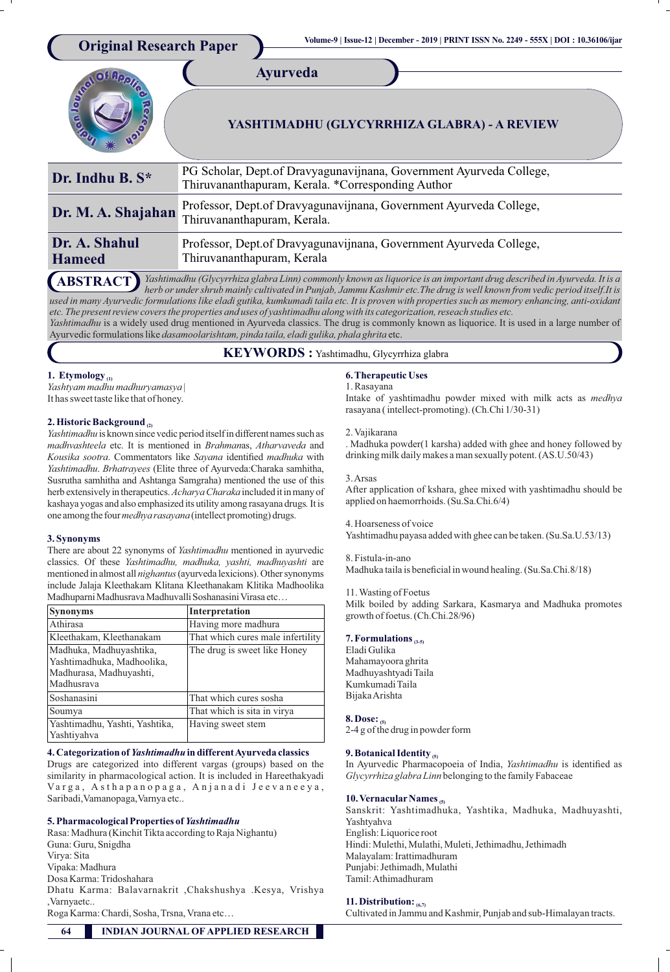

*Yashtimadhu* is a widely used drug mentioned in Ayurveda classics. The drug is commonly known as liquorice. It is used in a large number of Ayurvedic formulations like *dasamoolarishtam, pinda taila, eladi gulika, phala ghrita* etc.

**KEYWORDS :** Yashtimadhu, Glycyrrhiza glabra

# **1. Etymology (1)**

*Yashtyam madhu madhuryamasya* | It has sweet taste like that of honey.

# **2. Historic Background (2)**

*Yashtimadhu* is known since vedic period itself in different names such as *madhvashteela* etc. It is mentioned in *Brahman*as, *Atharvaveda* and Kousika sootra. Commentators like Sayana identified madhuka with *Yashtimadhu*. *Brhatrayees* (Elite three of Ayurveda:Charaka samhitha, Susrutha samhitha and Ashtanga Samgraha) mentioned the use of this herb extensively in therapeutics.*AcharyaCharaka* included itinmany of kashaya yogas and also emphasized its utility among rasayana drugs*.*It is one among the four *medhya rasayana* (intellect promoting) drugs.

### **3. Synonyms**

There are about 22 synonyms of *Yashtimadhu* mentioned in ayurvedic classics. Of these *Yashtimadhu, madhuka, yashti, madhuyashti* are mentioned in almost all *nighantus* (ayurveda lexicions). Other synonyms include Jalaja Kleethakam Klitana Kleethanakam Klitika Madhoolika Madhuparni Madhusrava Madhuvalli Soshanasini Virasa etc...

| <b>Synonyms</b>                                                                                | Interpretation                    |
|------------------------------------------------------------------------------------------------|-----------------------------------|
| Athirasa                                                                                       | Having more madhura               |
| Kleethakam, Kleethanakam                                                                       | That which cures male infertility |
| Madhuka, Madhuyashtika,<br>Yashtimadhuka, Madhoolika,<br>Madhurasa, Madhuyashti,<br>Madhusrava | The drug is sweet like Honey      |
| Soshanasini                                                                                    | That which cures sosha            |
| Soumya                                                                                         | That which is sita in virya       |
| Yashtimadhu, Yashti, Yashtika,<br>Yashtiyahva                                                  | Having sweet stem                 |

### **4. Categorization of** *Yashtimadhu* **in different Ayurveda classics**

Drugs are categorized into different vargas (groups) based on the similarity in pharmacological action. It is included in Hareethakyadi Varga, Asthapanopaga, Anjanadi Jeevaneeya, Saribadi,Vamanopaga,Varnya etc..

# **5. Pharmacological Properties of** *Yashtimadhu*

Rasa: Madhura (Kinchit Tikta according to Raja Nighantu) Guna: Guru, Snigdha Virya: Sita Vipaka: Madhura Dosa Karma: Tridoshahara Dhatu Karma: Balavarnakrit ,Chakshushya .Kesya, Vrishya ,Varnyaetc..

Roga Karma: Chardi, Sosha, Trsna, Vrana etc…

## **6. Therapeutic Uses**

1. Rasayana Intake of yashtimadhu powder mixed with milk acts as *medhya*  rasayana ( intellect-promoting). (Ch.Chi 1/30-31)

2. Vajikarana

. Madhuka powder(1 karsha) added with ghee and honey followed by drinking milk daily makes a man sexually potent. (AS.U.50/43)

#### 3. Arsas

After application of kshara, ghee mixed with yashtimadhu should be applied on haemorrhoids. (Su.Sa.Chi.6/4)

# 4. Hoarseness of voice

Yashtimadhu payasa added with ghee can be taken. (Su.Sa.U.53/13)

#### 8. Fistula-in-ano

Madhuka taila is beneficial in wound healing. (Su.Sa.Chi.8/18)

#### 11. Wasting of Foetus

Milk boiled by adding Sarkara, Kasmarya and Madhuka promotes growth of foetus. (Ch.Chi.28/96)

# **7. Formulations (3-5)**

Eladi Gulika Mahamayoora ghrita Madhuyashtyadi Taila Kumkumadi Taila Bijaka Arishta

#### **8. Dose: (5)**

2-4 g of the drug in powder form

## **9. Botanical Identity (5)**

In Ayurvedic Pharmacopoeia of India, *Yashtimadhu* is identified as *Glycyrrhiza glabra Linn* belonging to the family Fabaceae

## 10. Vernacular Names <sup>(5)</sup>

Sanskrit: Yashtimadhuka, Yashtika, Madhuka, Madhuyashti, Yashtyahva English: Liquorice root Hindi: Mulethi, Mulathi, Muleti, Jethimadhu, Jethimadh Malayalam: Irattimadhuram Punjabi: Jethimadh, Mulathi Tamil: Athimadhuram

## **11. Distribution: (6,7)**

Cultivated in Jammu and Kashmir, Punjab and sub-Himalayan tracts.